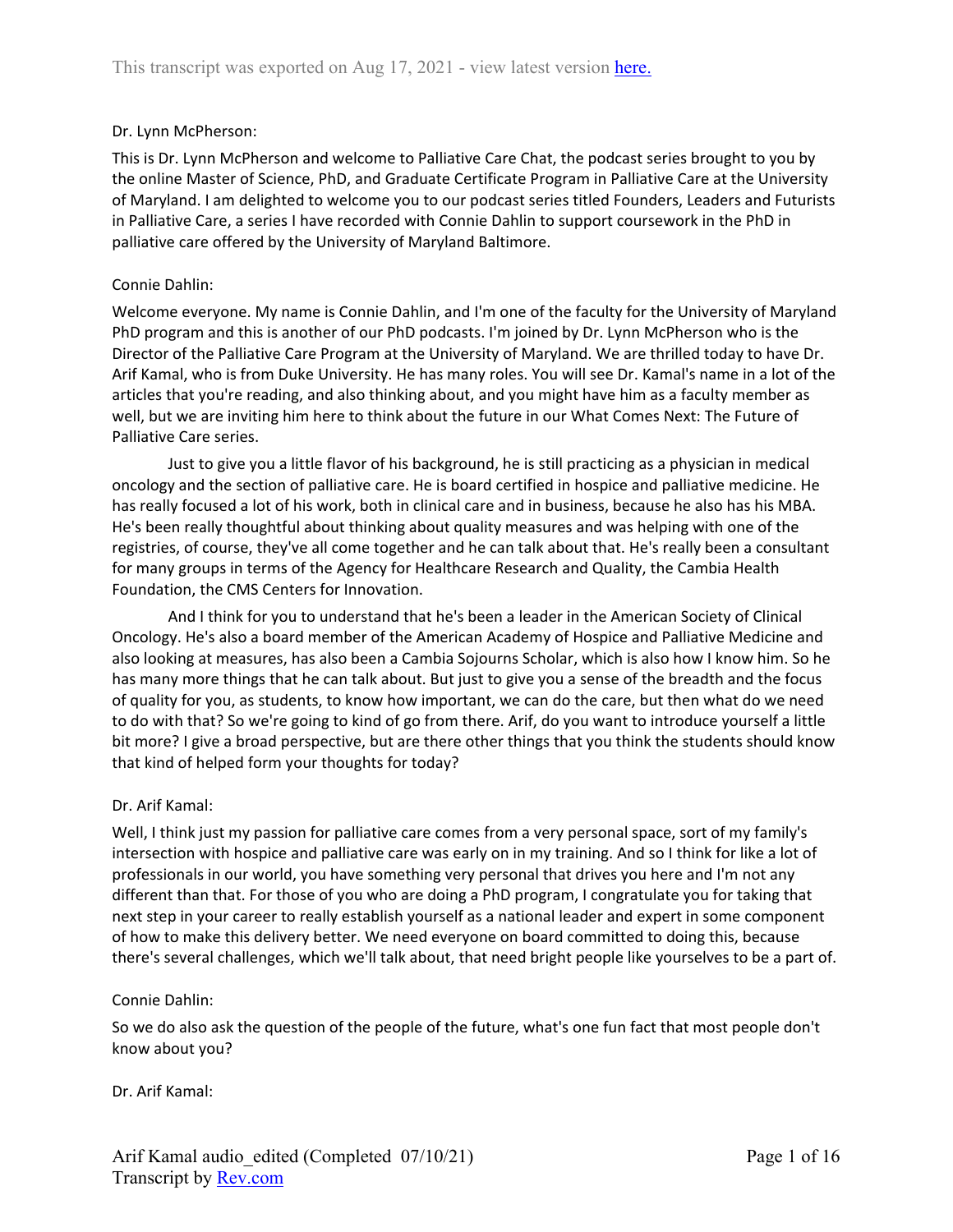### Dr. Lynn McPherson:

This is Dr. Lynn McPherson and welcome to Palliative Care Chat, the podcast series brought to you by the online Master of Science, PhD, and Graduate Certificate Program in Palliative Care at the University of Maryland. I am delighted to welcome you to our podcast series titled Founders, Leaders and Futurists in Palliative Care, a series I have recorded with Connie Dahlin to support coursework in the PhD in palliative care offered by the University of Maryland Baltimore.

### Connie Dahlin:

Welcome everyone. My name is Connie Dahlin, and I'm one of the faculty for the University of Maryland PhD program and this is another of our PhD podcasts. I'm joined by Dr. Lynn McPherson who is the Director of the Palliative Care Program at the University of Maryland. We are thrilled today to have Dr. Arif Kamal, who is from Duke University. He has many roles. You will see Dr. Kamal's name in a lot of the articles that you're reading, and also thinking about, and you might have him as a faculty member as well, but we are inviting him here to think about the future in our What Comes Next: The Future of Palliative Care series.

Just to give you a little flavor of his background, he is still practicing as a physician in medical oncology and the section of palliative care. He is board certified in hospice and palliative medicine. He has really focused a lot of his work, both in clinical care and in business, because he also has his MBA. He's been really thoughtful about thinking about quality measures and was helping with one of the registries, of course, they've all come together and he can talk about that. He's really been a consultant for many groups in terms of the Agency for Healthcare Research and Quality, the Cambia Health Foundation, the CMS Centers for Innovation.

And I think for you to understand that he's been a leader in the American Society of Clinical Oncology. He's also a board member of the American Academy of Hospice and Palliative Medicine and also looking at measures, has also been a Cambia Sojourns Scholar, which is also how I know him. So he has many more things that he can talk about. But just to give you a sense of the breadth and the focus of quality for you, as students, to know how important, we can do the care, but then what do we need to do with that? So we're going to kind of go from there. Arif, do you want to introduce yourself a little bit more? I give a broad perspective, but are there other things that you think the students should know that kind of helped form your thoughts for today?

### Dr. Arif Kamal:

Well, I think just my passion for palliative care comes from a very personal space, sort of my family's intersection with hospice and palliative care was early on in my training. And so I think for like a lot of professionals in our world, you have something very personal that drives you here and I'm not any different than that. For those of you who are doing a PhD program, I congratulate you for taking that next step in your career to really establish yourself as a national leader and expert in some component of how to make this delivery better. We need everyone on board committed to doing this, because there's several challenges, which we'll talk about, that need bright people like yourselves to be a part of.

### Connie Dahlin:

So we do also ask the question of the people of the future, what's one fun fact that most people don't know about you?

### Dr. Arif Kamal: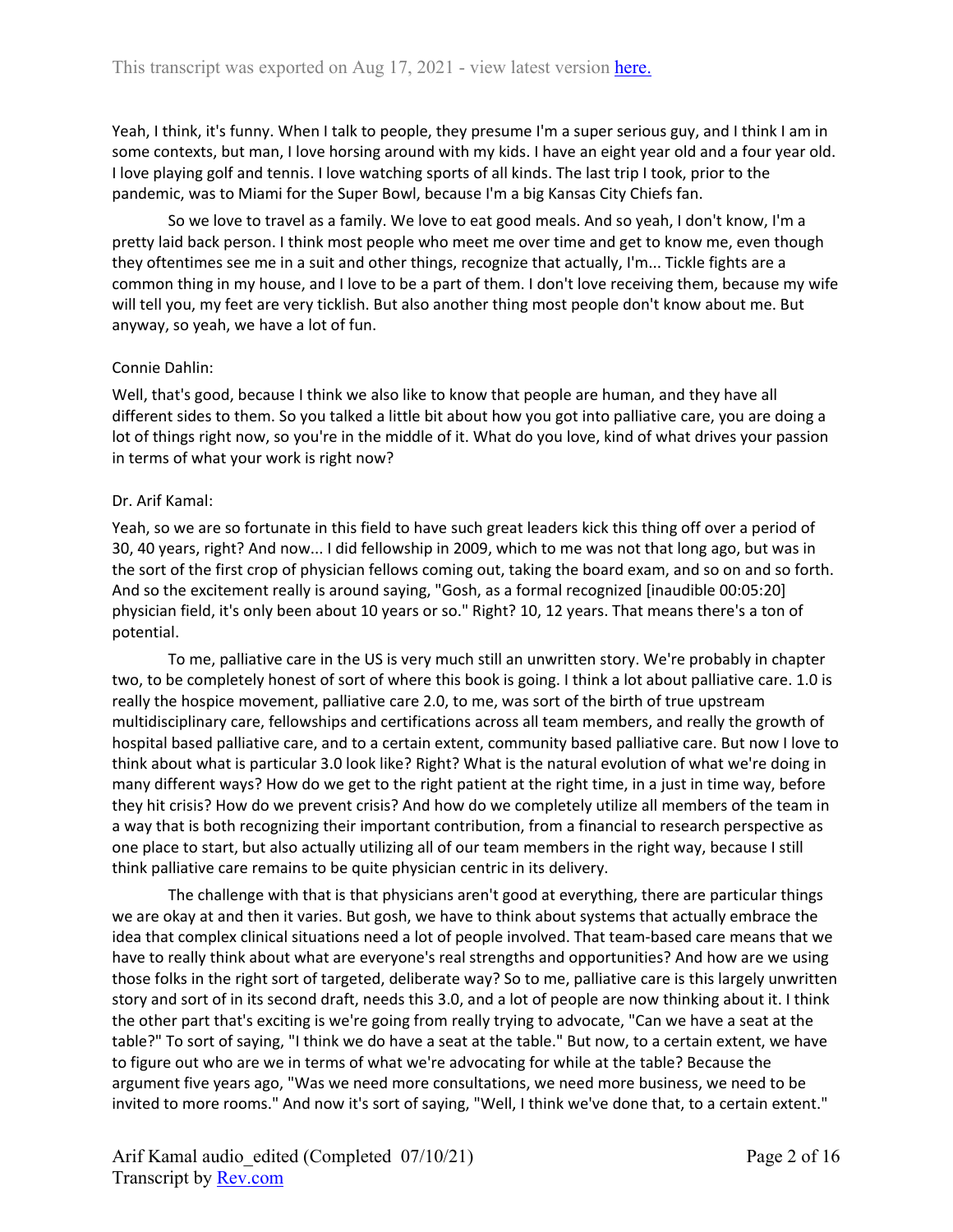Yeah, I think, it's funny. When I talk to people, they presume I'm a super serious guy, and I think I am in some contexts, but man, I love horsing around with my kids. I have an eight year old and a four year old. I love playing golf and tennis. I love watching sports of all kinds. The last trip I took, prior to the pandemic, was to Miami for the Super Bowl, because I'm a big Kansas City Chiefs fan.

So we love to travel as a family. We love to eat good meals. And so yeah, I don't know, I'm a pretty laid back person. I think most people who meet me over time and get to know me, even though they oftentimes see me in a suit and other things, recognize that actually, I'm... Tickle fights are a common thing in my house, and I love to be a part of them. I don't love receiving them, because my wife will tell you, my feet are very ticklish. But also another thing most people don't know about me. But anyway, so yeah, we have a lot of fun.

## Connie Dahlin:

Well, that's good, because I think we also like to know that people are human, and they have all different sides to them. So you talked a little bit about how you got into palliative care, you are doing a lot of things right now, so you're in the middle of it. What do you love, kind of what drives your passion in terms of what your work is right now?

### Dr. Arif Kamal:

Yeah, so we are so fortunate in this field to have such great leaders kick this thing off over a period of 30, 40 years, right? And now... I did fellowship in 2009, which to me was not that long ago, but was in the sort of the first crop of physician fellows coming out, taking the board exam, and so on and so forth. And so the excitement really is around saying, "Gosh, as a formal recognized [inaudible 00:05:20] physician field, it's only been about 10 years or so." Right? 10, 12 years. That means there's a ton of potential.

To me, palliative care in the US is very much still an unwritten story. We're probably in chapter two, to be completely honest of sort of where this book is going. I think a lot about palliative care. 1.0 is really the hospice movement, palliative care 2.0, to me, was sort of the birth of true upstream multidisciplinary care, fellowships and certifications across all team members, and really the growth of hospital based palliative care, and to a certain extent, community based palliative care. But now I love to think about what is particular 3.0 look like? Right? What is the natural evolution of what we're doing in many different ways? How do we get to the right patient at the right time, in a just in time way, before they hit crisis? How do we prevent crisis? And how do we completely utilize all members of the team in a way that is both recognizing their important contribution, from a financial to research perspective as one place to start, but also actually utilizing all of our team members in the right way, because I still think palliative care remains to be quite physician centric in its delivery.

The challenge with that is that physicians aren't good at everything, there are particular things we are okay at and then it varies. But gosh, we have to think about systems that actually embrace the idea that complex clinical situations need a lot of people involved. That team-based care means that we have to really think about what are everyone's real strengths and opportunities? And how are we using those folks in the right sort of targeted, deliberate way? So to me, palliative care is this largely unwritten story and sort of in its second draft, needs this 3.0, and a lot of people are now thinking about it. I think the other part that's exciting is we're going from really trying to advocate, "Can we have a seat at the table?" To sort of saying, "I think we do have a seat at the table." But now, to a certain extent, we have to figure out who are we in terms of what we're advocating for while at the table? Because the argument five years ago, "Was we need more consultations, we need more business, we need to be invited to more rooms." And now it's sort of saying, "Well, I think we've done that, to a certain extent."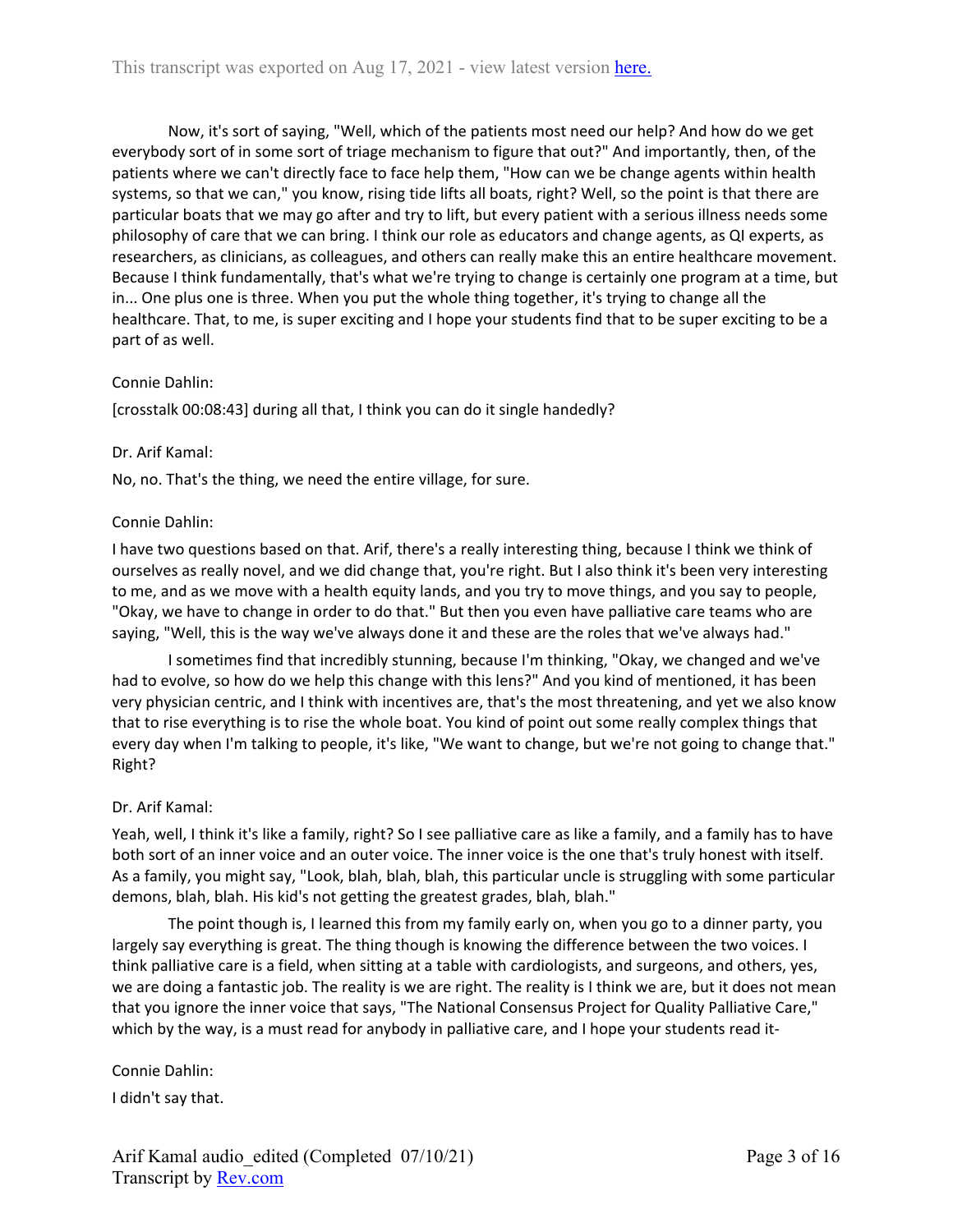Now, it's sort of saying, "Well, which of the patients most need our help? And how do we get everybody sort of in some sort of triage mechanism to figure that out?" And importantly, then, of the patients where we can't directly face to face help them, "How can we be change agents within health systems, so that we can," you know, rising tide lifts all boats, right? Well, so the point is that there are particular boats that we may go after and try to lift, but every patient with a serious illness needs some philosophy of care that we can bring. I think our role as educators and change agents, as QI experts, as researchers, as clinicians, as colleagues, and others can really make this an entire healthcare movement. Because I think fundamentally, that's what we're trying to change is certainly one program at a time, but in... One plus one is three. When you put the whole thing together, it's trying to change all the healthcare. That, to me, is super exciting and I hope your students find that to be super exciting to be a part of as well.

### Connie Dahlin:

[crosstalk 00:08:43] during all that, I think you can do it single handedly?

#### Dr. Arif Kamal:

No, no. That's the thing, we need the entire village, for sure.

#### Connie Dahlin:

I have two questions based on that. Arif, there's a really interesting thing, because I think we think of ourselves as really novel, and we did change that, you're right. But I also think it's been very interesting to me, and as we move with a health equity lands, and you try to move things, and you say to people, "Okay, we have to change in order to do that." But then you even have palliative care teams who are saying, "Well, this is the way we've always done it and these are the roles that we've always had."

I sometimes find that incredibly stunning, because I'm thinking, "Okay, we changed and we've had to evolve, so how do we help this change with this lens?" And you kind of mentioned, it has been very physician centric, and I think with incentives are, that's the most threatening, and yet we also know that to rise everything is to rise the whole boat. You kind of point out some really complex things that every day when I'm talking to people, it's like, "We want to change, but we're not going to change that." Right?

### Dr. Arif Kamal:

Yeah, well, I think it's like a family, right? So I see palliative care as like a family, and a family has to have both sort of an inner voice and an outer voice. The inner voice is the one that's truly honest with itself. As a family, you might say, "Look, blah, blah, blah, this particular uncle is struggling with some particular demons, blah, blah. His kid's not getting the greatest grades, blah, blah."

The point though is, I learned this from my family early on, when you go to a dinner party, you largely say everything is great. The thing though is knowing the difference between the two voices. I think palliative care is a field, when sitting at a table with cardiologists, and surgeons, and others, yes, we are doing a fantastic job. The reality is we are right. The reality is I think we are, but it does not mean that you ignore the inner voice that says, "The National Consensus Project for Quality Palliative Care," which by the way, is a must read for anybody in palliative care, and I hope your students read it-

#### Connie Dahlin:

I didn't say that.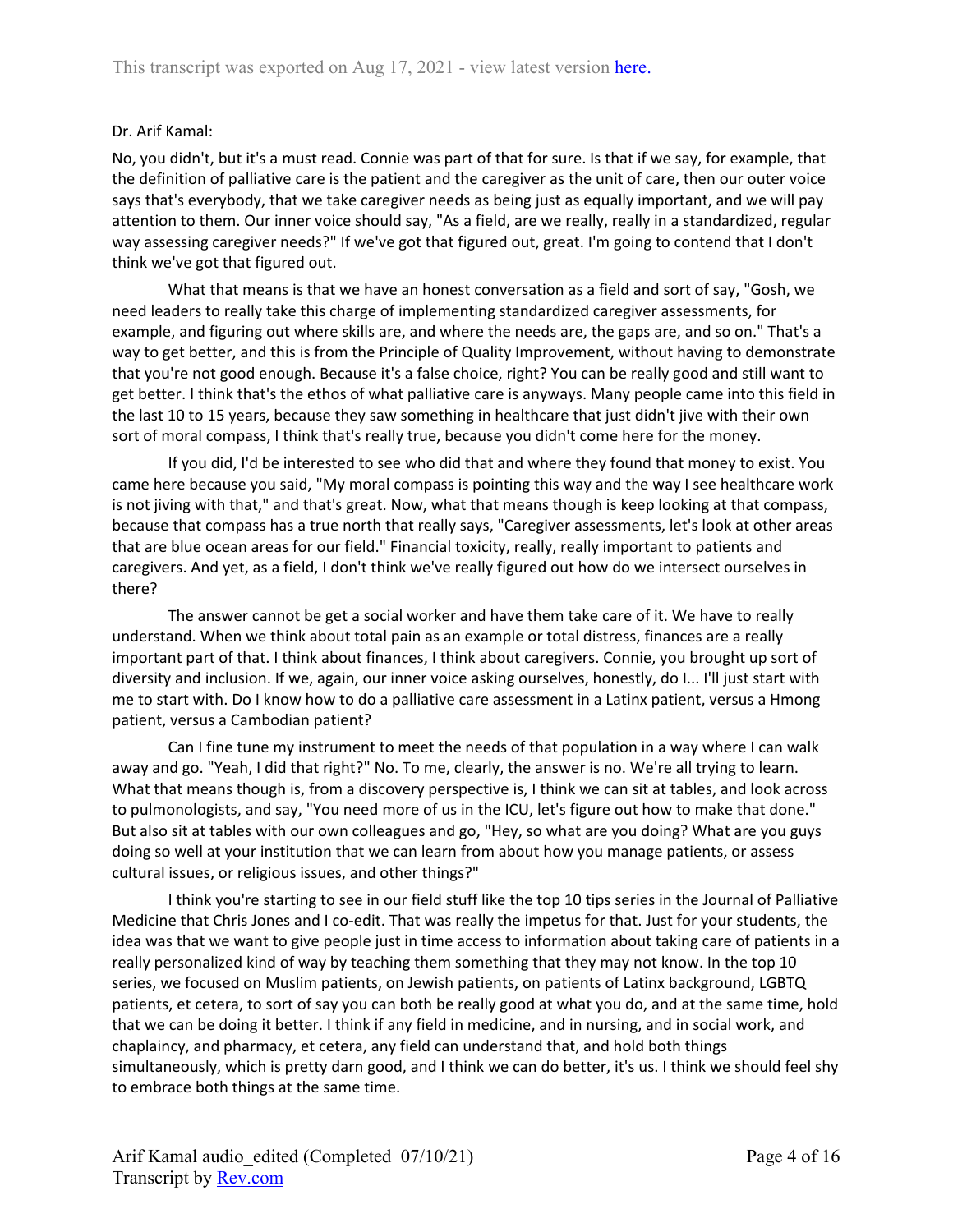## Dr. Arif Kamal:

No, you didn't, but it's a must read. Connie was part of that for sure. Is that if we say, for example, that the definition of palliative care is the patient and the caregiver as the unit of care, then our outer voice says that's everybody, that we take caregiver needs as being just as equally important, and we will pay attention to them. Our inner voice should say, "As a field, are we really, really in a standardized, regular way assessing caregiver needs?" If we've got that figured out, great. I'm going to contend that I don't think we've got that figured out.

What that means is that we have an honest conversation as a field and sort of say, "Gosh, we need leaders to really take this charge of implementing standardized caregiver assessments, for example, and figuring out where skills are, and where the needs are, the gaps are, and so on." That's a way to get better, and this is from the Principle of Quality Improvement, without having to demonstrate that you're not good enough. Because it's a false choice, right? You can be really good and still want to get better. I think that's the ethos of what palliative care is anyways. Many people came into this field in the last 10 to 15 years, because they saw something in healthcare that just didn't jive with their own sort of moral compass, I think that's really true, because you didn't come here for the money.

If you did, I'd be interested to see who did that and where they found that money to exist. You came here because you said, "My moral compass is pointing this way and the way I see healthcare work is not jiving with that," and that's great. Now, what that means though is keep looking at that compass, because that compass has a true north that really says, "Caregiver assessments, let's look at other areas that are blue ocean areas for our field." Financial toxicity, really, really important to patients and caregivers. And yet, as a field, I don't think we've really figured out how do we intersect ourselves in there?

The answer cannot be get a social worker and have them take care of it. We have to really understand. When we think about total pain as an example or total distress, finances are a really important part of that. I think about finances, I think about caregivers. Connie, you brought up sort of diversity and inclusion. If we, again, our inner voice asking ourselves, honestly, do I... I'll just start with me to start with. Do I know how to do a palliative care assessment in a Latinx patient, versus a Hmong patient, versus a Cambodian patient?

Can I fine tune my instrument to meet the needs of that population in a way where I can walk away and go. "Yeah, I did that right?" No. To me, clearly, the answer is no. We're all trying to learn. What that means though is, from a discovery perspective is, I think we can sit at tables, and look across to pulmonologists, and say, "You need more of us in the ICU, let's figure out how to make that done." But also sit at tables with our own colleagues and go, "Hey, so what are you doing? What are you guys doing so well at your institution that we can learn from about how you manage patients, or assess cultural issues, or religious issues, and other things?"

I think you're starting to see in our field stuff like the top 10 tips series in the Journal of Palliative Medicine that Chris Jones and I co-edit. That was really the impetus for that. Just for your students, the idea was that we want to give people just in time access to information about taking care of patients in a really personalized kind of way by teaching them something that they may not know. In the top 10 series, we focused on Muslim patients, on Jewish patients, on patients of Latinx background, LGBTQ patients, et cetera, to sort of say you can both be really good at what you do, and at the same time, hold that we can be doing it better. I think if any field in medicine, and in nursing, and in social work, and chaplaincy, and pharmacy, et cetera, any field can understand that, and hold both things simultaneously, which is pretty darn good, and I think we can do better, it's us. I think we should feel shy to embrace both things at the same time.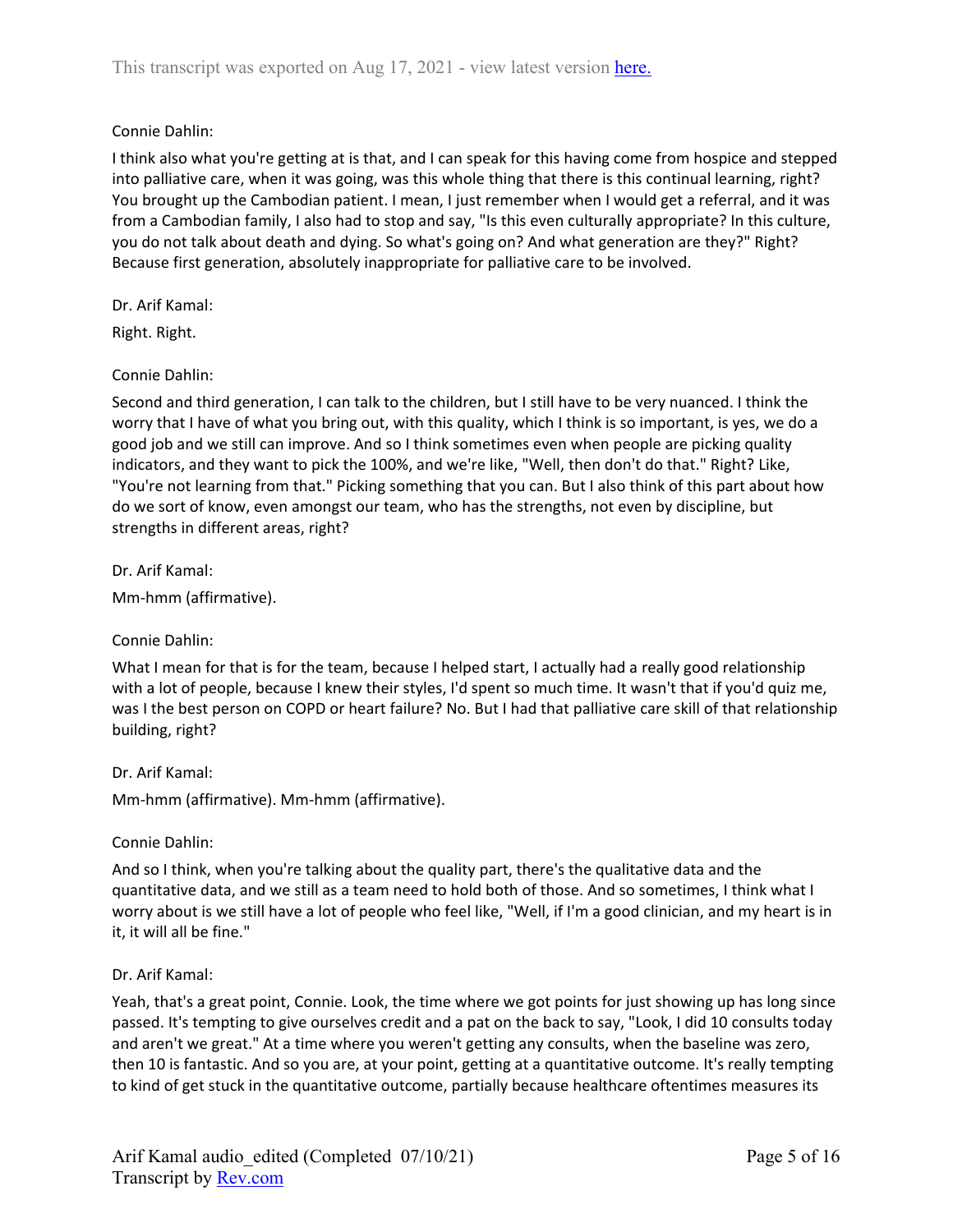# Connie Dahlin:

I think also what you're getting at is that, and I can speak for this having come from hospice and stepped into palliative care, when it was going, was this whole thing that there is this continual learning, right? You brought up the Cambodian patient. I mean, I just remember when I would get a referral, and it was from a Cambodian family, I also had to stop and say, "Is this even culturally appropriate? In this culture, you do not talk about death and dying. So what's going on? And what generation are they?" Right? Because first generation, absolutely inappropriate for palliative care to be involved.

### Dr. Arif Kamal:

Right. Right.

## Connie Dahlin:

Second and third generation, I can talk to the children, but I still have to be very nuanced. I think the worry that I have of what you bring out, with this quality, which I think is so important, is yes, we do a good job and we still can improve. And so I think sometimes even when people are picking quality indicators, and they want to pick the 100%, and we're like, "Well, then don't do that." Right? Like, "You're not learning from that." Picking something that you can. But I also think of this part about how do we sort of know, even amongst our team, who has the strengths, not even by discipline, but strengths in different areas, right?

Dr. Arif Kamal:

Mm-hmm (affirmative).

### Connie Dahlin:

What I mean for that is for the team, because I helped start, I actually had a really good relationship with a lot of people, because I knew their styles, I'd spent so much time. It wasn't that if you'd quiz me, was I the best person on COPD or heart failure? No. But I had that palliative care skill of that relationship building, right?

### Dr. Arif Kamal:

Mm-hmm (affirmative). Mm-hmm (affirmative).

### Connie Dahlin:

And so I think, when you're talking about the quality part, there's the qualitative data and the quantitative data, and we still as a team need to hold both of those. And so sometimes, I think what I worry about is we still have a lot of people who feel like, "Well, if I'm a good clinician, and my heart is in it, it will all be fine."

### Dr. Arif Kamal:

Yeah, that's a great point, Connie. Look, the time where we got points for just showing up has long since passed. It's tempting to give ourselves credit and a pat on the back to say, "Look, I did 10 consults today and aren't we great." At a time where you weren't getting any consults, when the baseline was zero, then 10 is fantastic. And so you are, at your point, getting at a quantitative outcome. It's really tempting to kind of get stuck in the quantitative outcome, partially because healthcare oftentimes measures its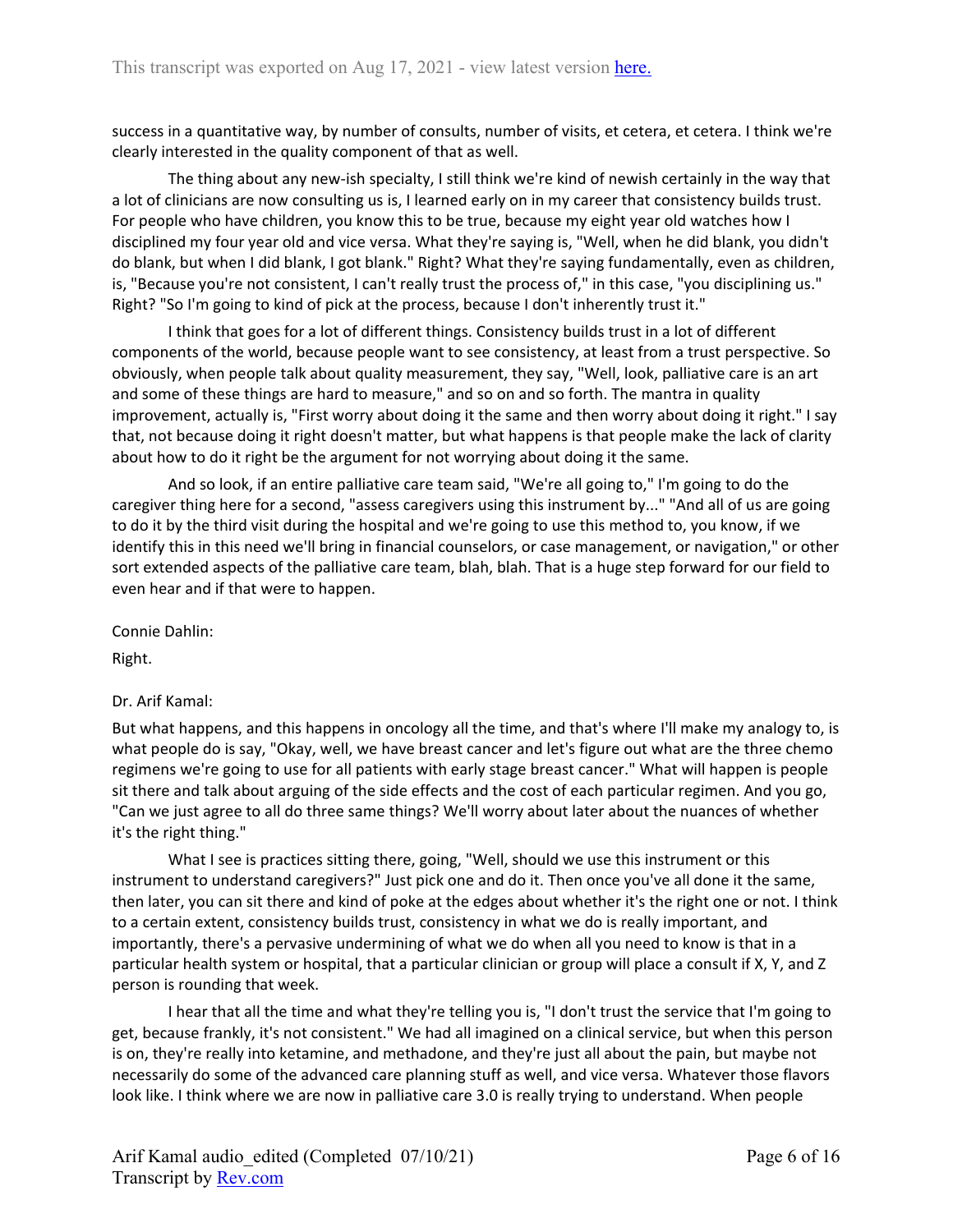success in a quantitative way, by number of consults, number of visits, et cetera, et cetera. I think we're clearly interested in the quality component of that as well.

The thing about any new-ish specialty, I still think we're kind of newish certainly in the way that a lot of clinicians are now consulting us is, I learned early on in my career that consistency builds trust. For people who have children, you know this to be true, because my eight year old watches how I disciplined my four year old and vice versa. What they're saying is, "Well, when he did blank, you didn't do blank, but when I did blank, I got blank." Right? What they're saying fundamentally, even as children, is, "Because you're not consistent, I can't really trust the process of," in this case, "you disciplining us." Right? "So I'm going to kind of pick at the process, because I don't inherently trust it."

I think that goes for a lot of different things. Consistency builds trust in a lot of different components of the world, because people want to see consistency, at least from a trust perspective. So obviously, when people talk about quality measurement, they say, "Well, look, palliative care is an art and some of these things are hard to measure," and so on and so forth. The mantra in quality improvement, actually is, "First worry about doing it the same and then worry about doing it right." I say that, not because doing it right doesn't matter, but what happens is that people make the lack of clarity about how to do it right be the argument for not worrying about doing it the same.

And so look, if an entire palliative care team said, "We're all going to," I'm going to do the caregiver thing here for a second, "assess caregivers using this instrument by..." "And all of us are going to do it by the third visit during the hospital and we're going to use this method to, you know, if we identify this in this need we'll bring in financial counselors, or case management, or navigation," or other sort extended aspects of the palliative care team, blah, blah. That is a huge step forward for our field to even hear and if that were to happen.

Connie Dahlin:

Right.

# Dr. Arif Kamal:

But what happens, and this happens in oncology all the time, and that's where I'll make my analogy to, is what people do is say, "Okay, well, we have breast cancer and let's figure out what are the three chemo regimens we're going to use for all patients with early stage breast cancer." What will happen is people sit there and talk about arguing of the side effects and the cost of each particular regimen. And you go, "Can we just agree to all do three same things? We'll worry about later about the nuances of whether it's the right thing."

What I see is practices sitting there, going, "Well, should we use this instrument or this instrument to understand caregivers?" Just pick one and do it. Then once you've all done it the same, then later, you can sit there and kind of poke at the edges about whether it's the right one or not. I think to a certain extent, consistency builds trust, consistency in what we do is really important, and importantly, there's a pervasive undermining of what we do when all you need to know is that in a particular health system or hospital, that a particular clinician or group will place a consult if X, Y, and Z person is rounding that week.

I hear that all the time and what they're telling you is, "I don't trust the service that I'm going to get, because frankly, it's not consistent." We had all imagined on a clinical service, but when this person is on, they're really into ketamine, and methadone, and they're just all about the pain, but maybe not necessarily do some of the advanced care planning stuff as well, and vice versa. Whatever those flavors look like. I think where we are now in palliative care 3.0 is really trying to understand. When people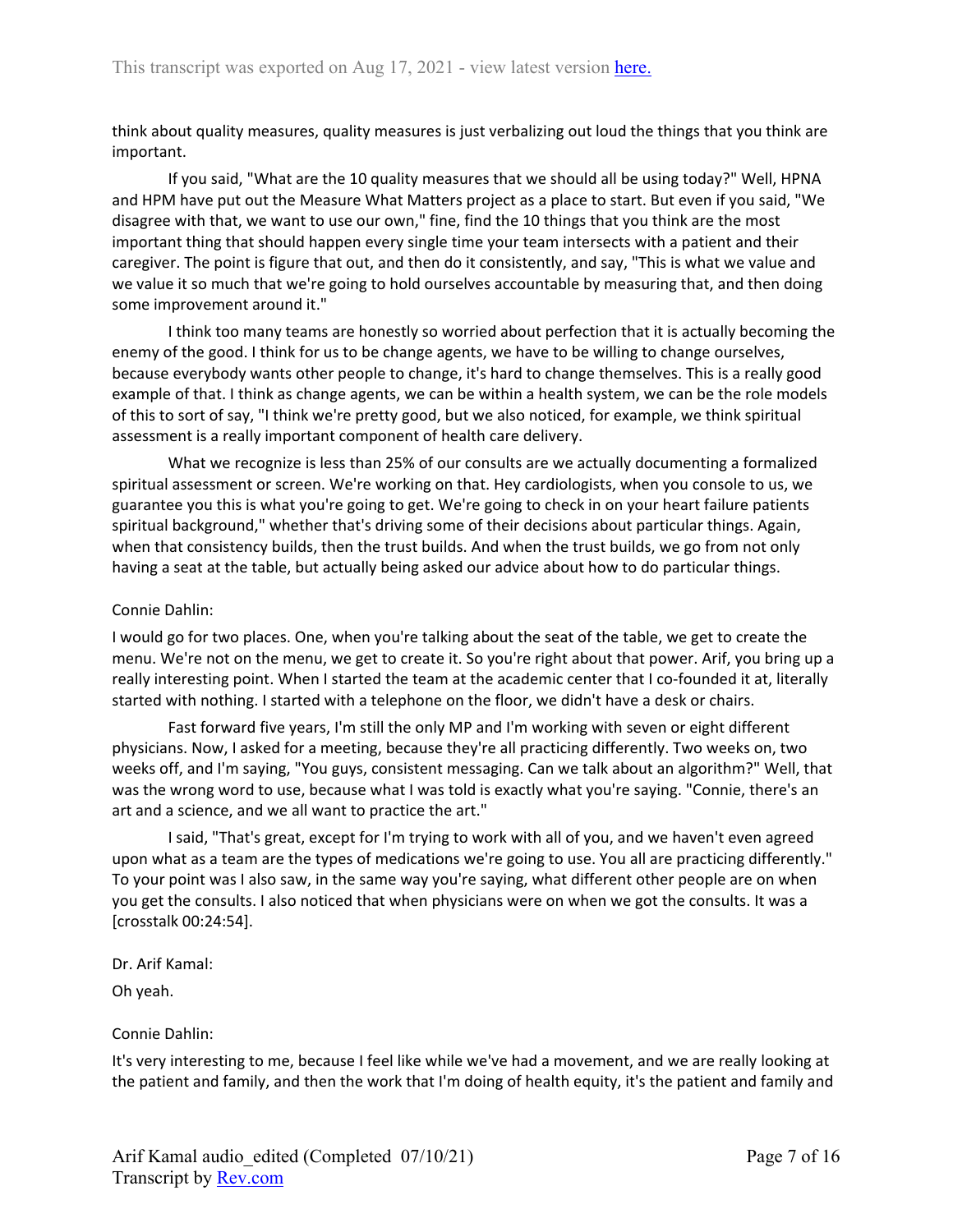think about quality measures, quality measures is just verbalizing out loud the things that you think are important.

If you said, "What are the 10 quality measures that we should all be using today?" Well, HPNA and HPM have put out the Measure What Matters project as a place to start. But even if you said, "We disagree with that, we want to use our own," fine, find the 10 things that you think are the most important thing that should happen every single time your team intersects with a patient and their caregiver. The point is figure that out, and then do it consistently, and say, "This is what we value and we value it so much that we're going to hold ourselves accountable by measuring that, and then doing some improvement around it."

I think too many teams are honestly so worried about perfection that it is actually becoming the enemy of the good. I think for us to be change agents, we have to be willing to change ourselves, because everybody wants other people to change, it's hard to change themselves. This is a really good example of that. I think as change agents, we can be within a health system, we can be the role models of this to sort of say, "I think we're pretty good, but we also noticed, for example, we think spiritual assessment is a really important component of health care delivery.

What we recognize is less than 25% of our consults are we actually documenting a formalized spiritual assessment or screen. We're working on that. Hey cardiologists, when you console to us, we guarantee you this is what you're going to get. We're going to check in on your heart failure patients spiritual background," whether that's driving some of their decisions about particular things. Again, when that consistency builds, then the trust builds. And when the trust builds, we go from not only having a seat at the table, but actually being asked our advice about how to do particular things.

## Connie Dahlin:

I would go for two places. One, when you're talking about the seat of the table, we get to create the menu. We're not on the menu, we get to create it. So you're right about that power. Arif, you bring up a really interesting point. When I started the team at the academic center that I co-founded it at, literally started with nothing. I started with a telephone on the floor, we didn't have a desk or chairs.

Fast forward five years, I'm still the only MP and I'm working with seven or eight different physicians. Now, I asked for a meeting, because they're all practicing differently. Two weeks on, two weeks off, and I'm saying, "You guys, consistent messaging. Can we talk about an algorithm?" Well, that was the wrong word to use, because what I was told is exactly what you're saying. "Connie, there's an art and a science, and we all want to practice the art."

I said, "That's great, except for I'm trying to work with all of you, and we haven't even agreed upon what as a team are the types of medications we're going to use. You all are practicing differently." To your point was I also saw, in the same way you're saying, what different other people are on when you get the consults. I also noticed that when physicians were on when we got the consults. It was a [crosstalk 00:24:54].

### Dr. Arif Kamal:

Oh yeah.

# Connie Dahlin:

It's very interesting to me, because I feel like while we've had a movement, and we are really looking at the patient and family, and then the work that I'm doing of health equity, it's the patient and family and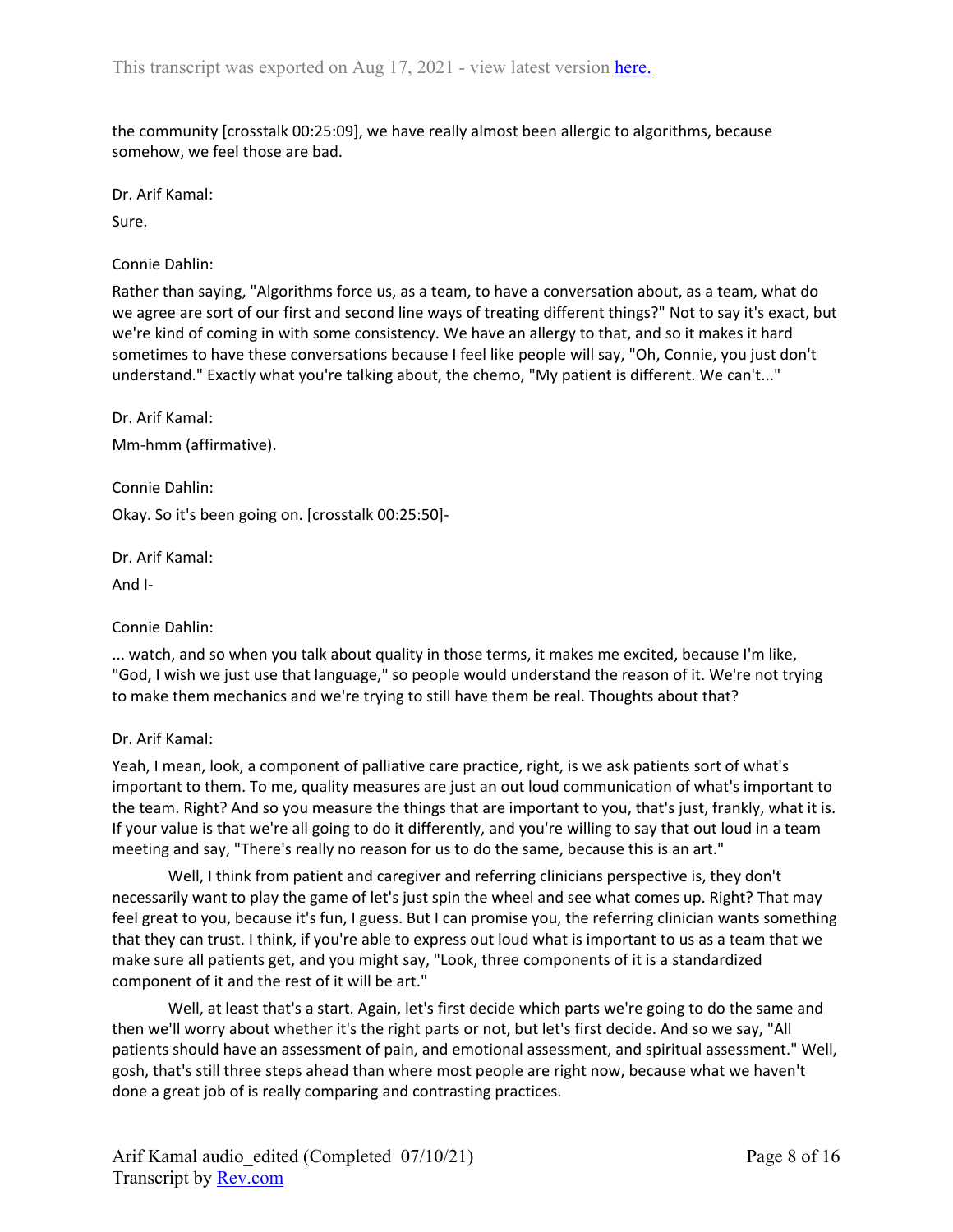the community [crosstalk 00:25:09], we have really almost been allergic to algorithms, because somehow, we feel those are bad.

Dr. Arif Kamal:

Sure.

Connie Dahlin:

Rather than saying, "Algorithms force us, as a team, to have a conversation about, as a team, what do we agree are sort of our first and second line ways of treating different things?" Not to say it's exact, but we're kind of coming in with some consistency. We have an allergy to that, and so it makes it hard sometimes to have these conversations because I feel like people will say, "Oh, Connie, you just don't understand." Exactly what you're talking about, the chemo, "My patient is different. We can't..."

Dr. Arif Kamal: Mm-hmm (affirmative).

Connie Dahlin: Okay. So it's been going on. [crosstalk 00:25:50]-

Dr. Arif Kamal:

And I-

Connie Dahlin:

... watch, and so when you talk about quality in those terms, it makes me excited, because I'm like, "God, I wish we just use that language," so people would understand the reason of it. We're not trying to make them mechanics and we're trying to still have them be real. Thoughts about that?

### Dr. Arif Kamal:

Yeah, I mean, look, a component of palliative care practice, right, is we ask patients sort of what's important to them. To me, quality measures are just an out loud communication of what's important to the team. Right? And so you measure the things that are important to you, that's just, frankly, what it is. If your value is that we're all going to do it differently, and you're willing to say that out loud in a team meeting and say, "There's really no reason for us to do the same, because this is an art."

Well, I think from patient and caregiver and referring clinicians perspective is, they don't necessarily want to play the game of let's just spin the wheel and see what comes up. Right? That may feel great to you, because it's fun, I guess. But I can promise you, the referring clinician wants something that they can trust. I think, if you're able to express out loud what is important to us as a team that we make sure all patients get, and you might say, "Look, three components of it is a standardized component of it and the rest of it will be art."

Well, at least that's a start. Again, let's first decide which parts we're going to do the same and then we'll worry about whether it's the right parts or not, but let's first decide. And so we say, "All patients should have an assessment of pain, and emotional assessment, and spiritual assessment." Well, gosh, that's still three steps ahead than where most people are right now, because what we haven't done a great job of is really comparing and contrasting practices.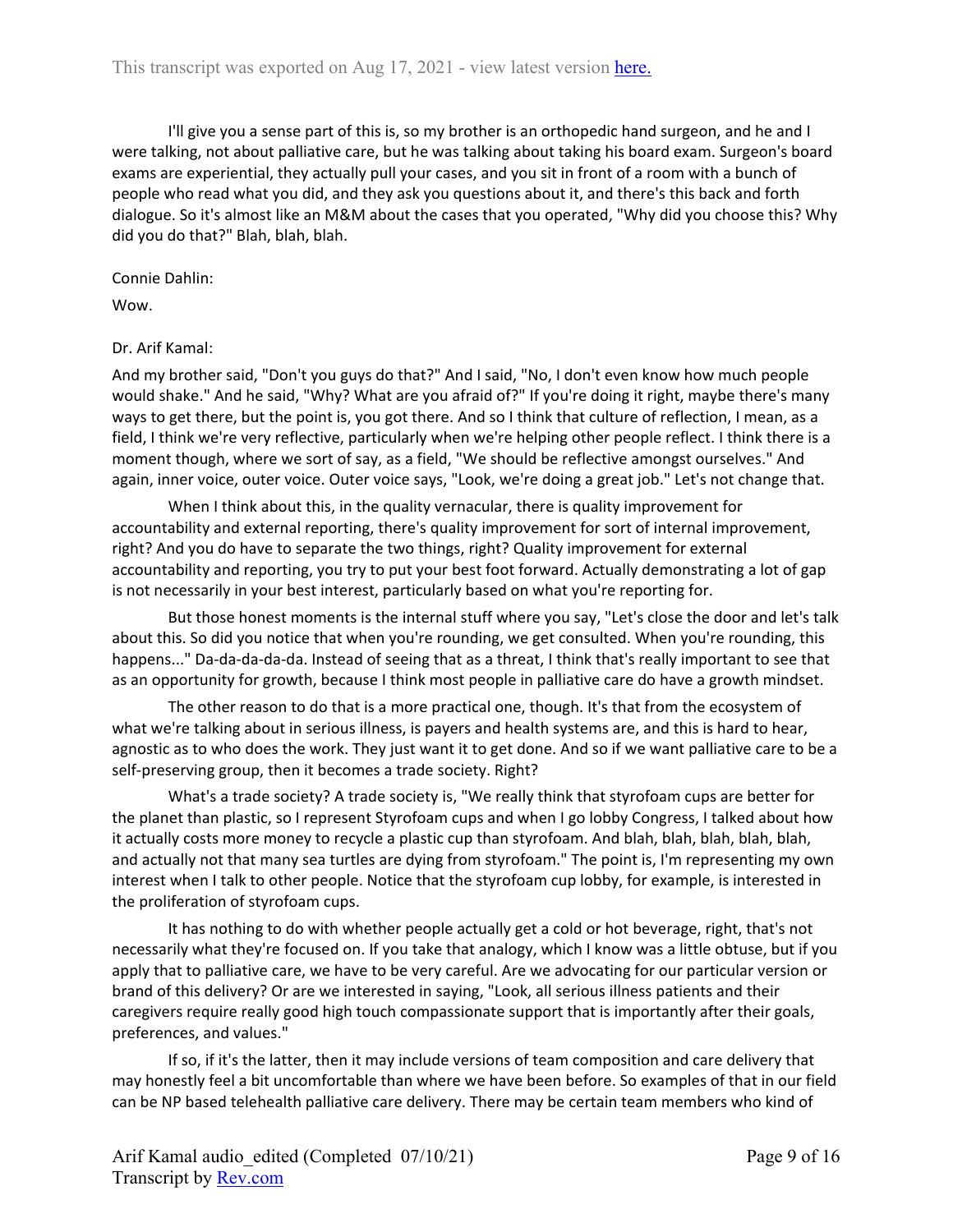I'll give you a sense part of this is, so my brother is an orthopedic hand surgeon, and he and I were talking, not about palliative care, but he was talking about taking his board exam. Surgeon's board exams are experiential, they actually pull your cases, and you sit in front of a room with a bunch of people who read what you did, and they ask you questions about it, and there's this back and forth dialogue. So it's almost like an M&M about the cases that you operated, "Why did you choose this? Why did you do that?" Blah, blah, blah.

Connie Dahlin:

Wow.

### Dr. Arif Kamal:

And my brother said, "Don't you guys do that?" And I said, "No, I don't even know how much people would shake." And he said, "Why? What are you afraid of?" If you're doing it right, maybe there's many ways to get there, but the point is, you got there. And so I think that culture of reflection, I mean, as a field, I think we're very reflective, particularly when we're helping other people reflect. I think there is a moment though, where we sort of say, as a field, "We should be reflective amongst ourselves." And again, inner voice, outer voice. Outer voice says, "Look, we're doing a great job." Let's not change that.

When I think about this, in the quality vernacular, there is quality improvement for accountability and external reporting, there's quality improvement for sort of internal improvement, right? And you do have to separate the two things, right? Quality improvement for external accountability and reporting, you try to put your best foot forward. Actually demonstrating a lot of gap is not necessarily in your best interest, particularly based on what you're reporting for.

But those honest moments is the internal stuff where you say, "Let's close the door and let's talk about this. So did you notice that when you're rounding, we get consulted. When you're rounding, this happens..." Da-da-da-da-da. Instead of seeing that as a threat, I think that's really important to see that as an opportunity for growth, because I think most people in palliative care do have a growth mindset.

The other reason to do that is a more practical one, though. It's that from the ecosystem of what we're talking about in serious illness, is payers and health systems are, and this is hard to hear, agnostic as to who does the work. They just want it to get done. And so if we want palliative care to be a self-preserving group, then it becomes a trade society. Right?

What's a trade society? A trade society is, "We really think that styrofoam cups are better for the planet than plastic, so I represent Styrofoam cups and when I go lobby Congress, I talked about how it actually costs more money to recycle a plastic cup than styrofoam. And blah, blah, blah, blah, blah, and actually not that many sea turtles are dying from styrofoam." The point is, I'm representing my own interest when I talk to other people. Notice that the styrofoam cup lobby, for example, is interested in the proliferation of styrofoam cups.

It has nothing to do with whether people actually get a cold or hot beverage, right, that's not necessarily what they're focused on. If you take that analogy, which I know was a little obtuse, but if you apply that to palliative care, we have to be very careful. Are we advocating for our particular version or brand of this delivery? Or are we interested in saying, "Look, all serious illness patients and their caregivers require really good high touch compassionate support that is importantly after their goals, preferences, and values."

If so, if it's the latter, then it may include versions of team composition and care delivery that may honestly feel a bit uncomfortable than where we have been before. So examples of that in our field can be NP based telehealth palliative care delivery. There may be certain team members who kind of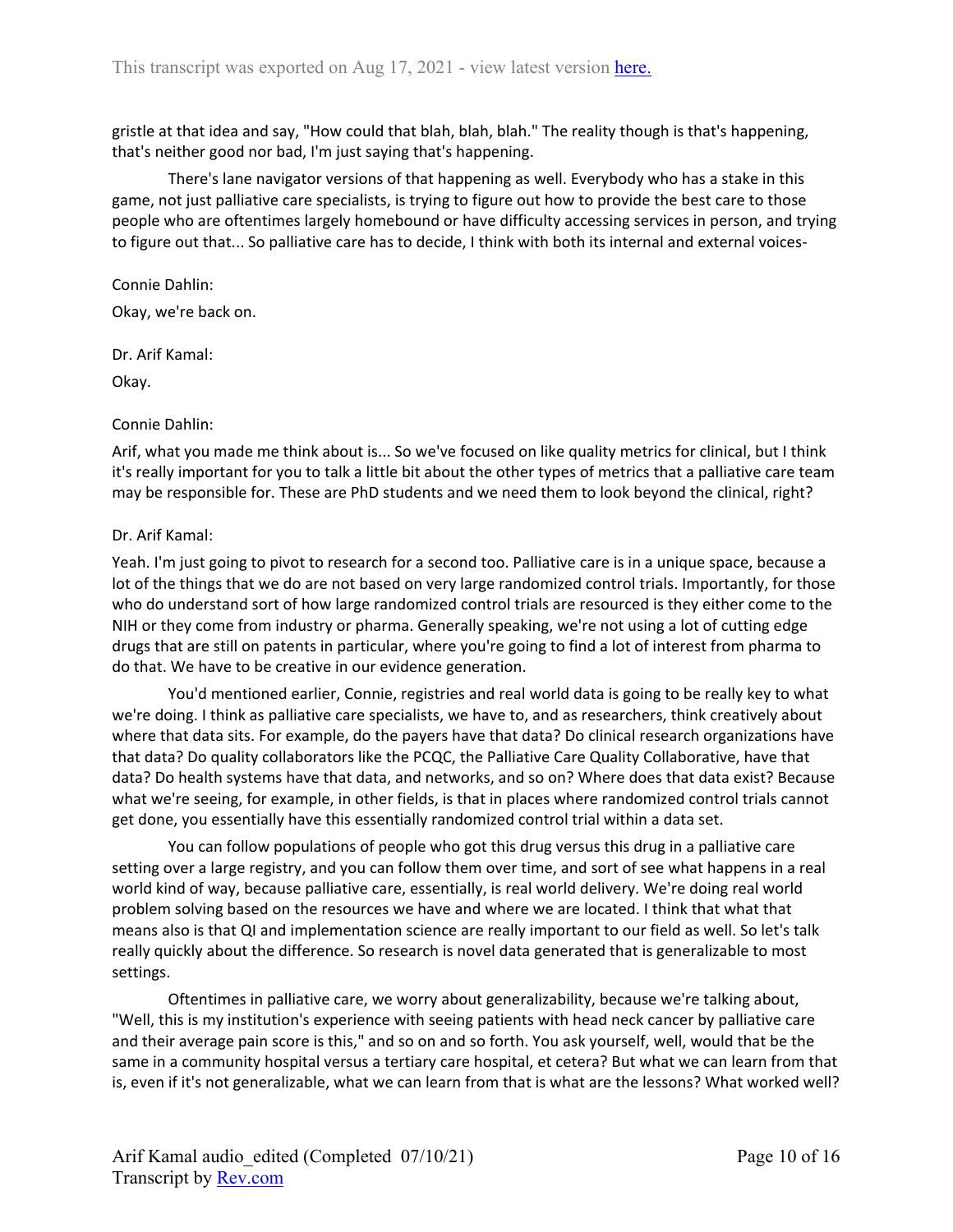gristle at that idea and say, "How could that blah, blah, blah." The reality though is that's happening, that's neither good nor bad, I'm just saying that's happening.

There's lane navigator versions of that happening as well. Everybody who has a stake in this game, not just palliative care specialists, is trying to figure out how to provide the best care to those people who are oftentimes largely homebound or have difficulty accessing services in person, and trying to figure out that... So palliative care has to decide, I think with both its internal and external voices-

#### Connie Dahlin:

Okay, we're back on.

### Dr. Arif Kamal:

Okay.

### Connie Dahlin:

Arif, what you made me think about is... So we've focused on like quality metrics for clinical, but I think it's really important for you to talk a little bit about the other types of metrics that a palliative care team may be responsible for. These are PhD students and we need them to look beyond the clinical, right?

### Dr. Arif Kamal:

Yeah. I'm just going to pivot to research for a second too. Palliative care is in a unique space, because a lot of the things that we do are not based on very large randomized control trials. Importantly, for those who do understand sort of how large randomized control trials are resourced is they either come to the NIH or they come from industry or pharma. Generally speaking, we're not using a lot of cutting edge drugs that are still on patents in particular, where you're going to find a lot of interest from pharma to do that. We have to be creative in our evidence generation.

You'd mentioned earlier, Connie, registries and real world data is going to be really key to what we're doing. I think as palliative care specialists, we have to, and as researchers, think creatively about where that data sits. For example, do the payers have that data? Do clinical research organizations have that data? Do quality collaborators like the PCQC, the Palliative Care Quality Collaborative, have that data? Do health systems have that data, and networks, and so on? Where does that data exist? Because what we're seeing, for example, in other fields, is that in places where randomized control trials cannot get done, you essentially have this essentially randomized control trial within a data set.

You can follow populations of people who got this drug versus this drug in a palliative care setting over a large registry, and you can follow them over time, and sort of see what happens in a real world kind of way, because palliative care, essentially, is real world delivery. We're doing real world problem solving based on the resources we have and where we are located. I think that what that means also is that QI and implementation science are really important to our field as well. So let's talk really quickly about the difference. So research is novel data generated that is generalizable to most settings.

Oftentimes in palliative care, we worry about generalizability, because we're talking about, "Well, this is my institution's experience with seeing patients with head neck cancer by palliative care and their average pain score is this," and so on and so forth. You ask yourself, well, would that be the same in a community hospital versus a tertiary care hospital, et cetera? But what we can learn from that is, even if it's not generalizable, what we can learn from that is what are the lessons? What worked well?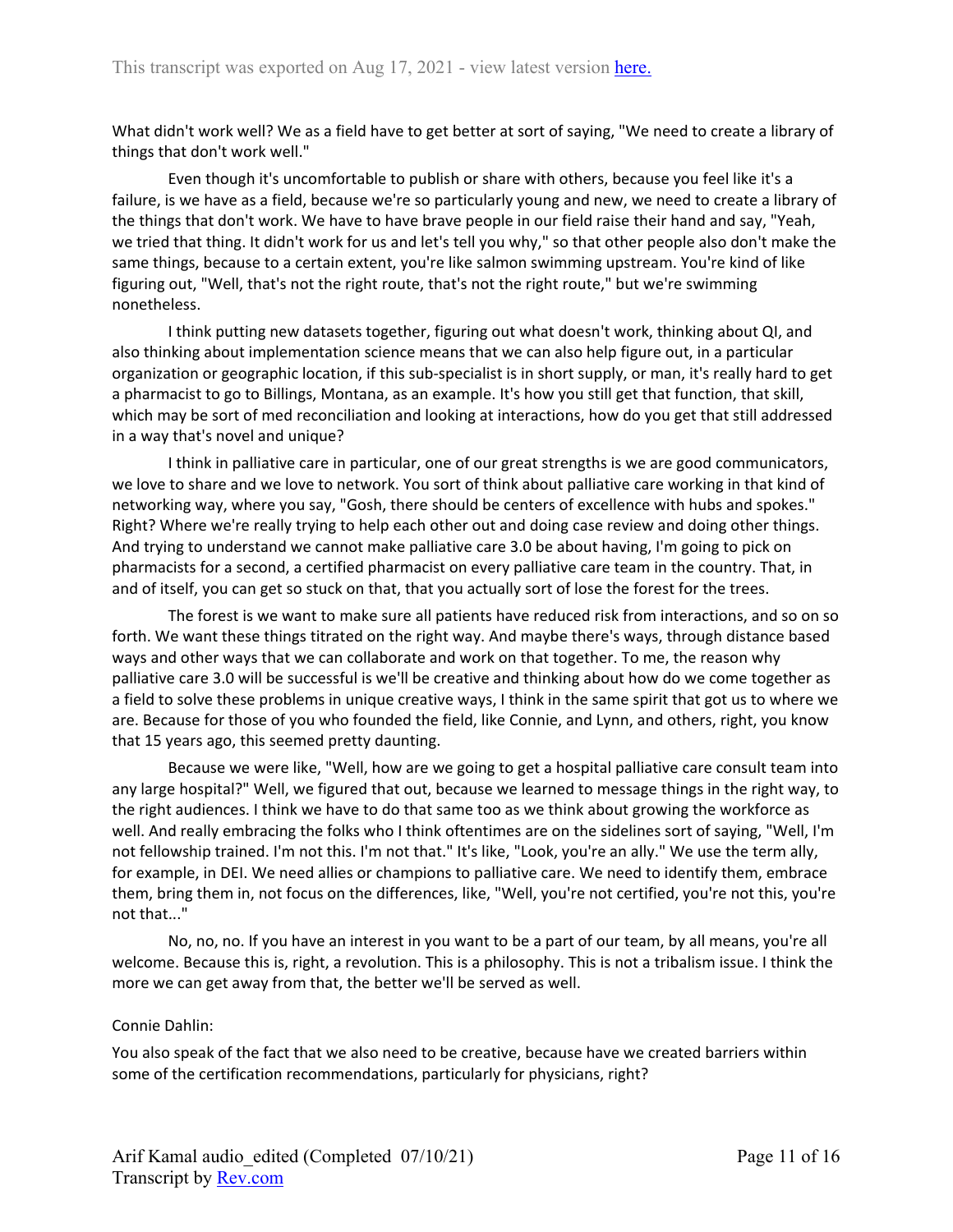What didn't work well? We as a field have to get better at sort of saying, "We need to create a library of things that don't work well."

Even though it's uncomfortable to publish or share with others, because you feel like it's a failure, is we have as a field, because we're so particularly young and new, we need to create a library of the things that don't work. We have to have brave people in our field raise their hand and say, "Yeah, we tried that thing. It didn't work for us and let's tell you why," so that other people also don't make the same things, because to a certain extent, you're like salmon swimming upstream. You're kind of like figuring out, "Well, that's not the right route, that's not the right route," but we're swimming nonetheless.

I think putting new datasets together, figuring out what doesn't work, thinking about QI, and also thinking about implementation science means that we can also help figure out, in a particular organization or geographic location, if this sub-specialist is in short supply, or man, it's really hard to get a pharmacist to go to Billings, Montana, as an example. It's how you still get that function, that skill, which may be sort of med reconciliation and looking at interactions, how do you get that still addressed in a way that's novel and unique?

I think in palliative care in particular, one of our great strengths is we are good communicators, we love to share and we love to network. You sort of think about palliative care working in that kind of networking way, where you say, "Gosh, there should be centers of excellence with hubs and spokes." Right? Where we're really trying to help each other out and doing case review and doing other things. And trying to understand we cannot make palliative care 3.0 be about having, I'm going to pick on pharmacists for a second, a certified pharmacist on every palliative care team in the country. That, in and of itself, you can get so stuck on that, that you actually sort of lose the forest for the trees.

The forest is we want to make sure all patients have reduced risk from interactions, and so on so forth. We want these things titrated on the right way. And maybe there's ways, through distance based ways and other ways that we can collaborate and work on that together. To me, the reason why palliative care 3.0 will be successful is we'll be creative and thinking about how do we come together as a field to solve these problems in unique creative ways, I think in the same spirit that got us to where we are. Because for those of you who founded the field, like Connie, and Lynn, and others, right, you know that 15 years ago, this seemed pretty daunting.

Because we were like, "Well, how are we going to get a hospital palliative care consult team into any large hospital?" Well, we figured that out, because we learned to message things in the right way, to the right audiences. I think we have to do that same too as we think about growing the workforce as well. And really embracing the folks who I think oftentimes are on the sidelines sort of saying, "Well, I'm not fellowship trained. I'm not this. I'm not that." It's like, "Look, you're an ally." We use the term ally, for example, in DEI. We need allies or champions to palliative care. We need to identify them, embrace them, bring them in, not focus on the differences, like, "Well, you're not certified, you're not this, you're not that..."

No, no, no. If you have an interest in you want to be a part of our team, by all means, you're all welcome. Because this is, right, a revolution. This is a philosophy. This is not a tribalism issue. I think the more we can get away from that, the better we'll be served as well.

### Connie Dahlin:

You also speak of the fact that we also need to be creative, because have we created barriers within some of the certification recommendations, particularly for physicians, right?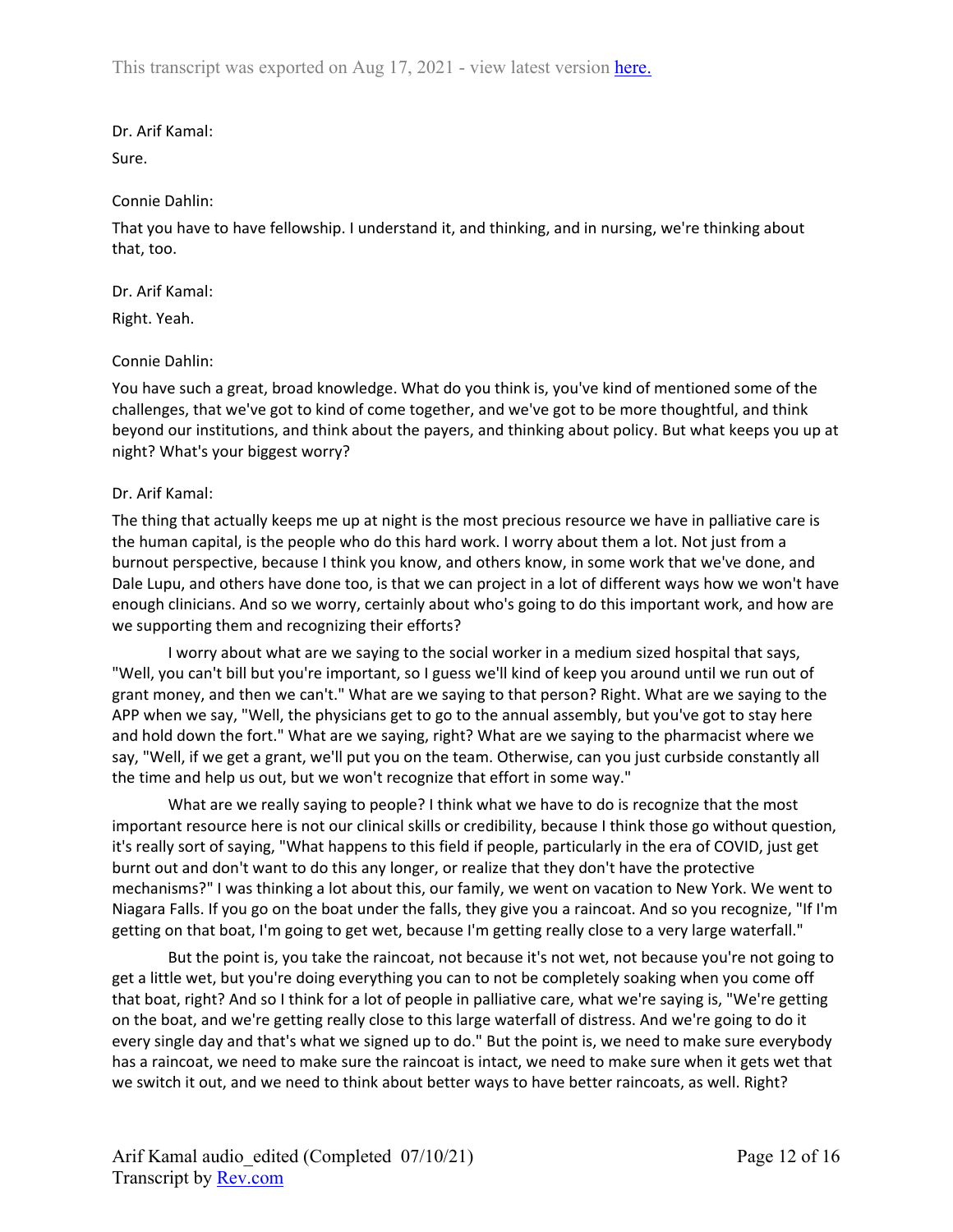## Dr. Arif Kamal:

Sure.

### Connie Dahlin:

That you have to have fellowship. I understand it, and thinking, and in nursing, we're thinking about that, too.

## Dr. Arif Kamal:

Right. Yeah.

## Connie Dahlin:

You have such a great, broad knowledge. What do you think is, you've kind of mentioned some of the challenges, that we've got to kind of come together, and we've got to be more thoughtful, and think beyond our institutions, and think about the payers, and thinking about policy. But what keeps you up at night? What's your biggest worry?

## Dr. Arif Kamal:

The thing that actually keeps me up at night is the most precious resource we have in palliative care is the human capital, is the people who do this hard work. I worry about them a lot. Not just from a burnout perspective, because I think you know, and others know, in some work that we've done, and Dale Lupu, and others have done too, is that we can project in a lot of different ways how we won't have enough clinicians. And so we worry, certainly about who's going to do this important work, and how are we supporting them and recognizing their efforts?

I worry about what are we saying to the social worker in a medium sized hospital that says, "Well, you can't bill but you're important, so I guess we'll kind of keep you around until we run out of grant money, and then we can't." What are we saying to that person? Right. What are we saying to the APP when we say, "Well, the physicians get to go to the annual assembly, but you've got to stay here and hold down the fort." What are we saying, right? What are we saying to the pharmacist where we say, "Well, if we get a grant, we'll put you on the team. Otherwise, can you just curbside constantly all the time and help us out, but we won't recognize that effort in some way."

What are we really saying to people? I think what we have to do is recognize that the most important resource here is not our clinical skills or credibility, because I think those go without question, it's really sort of saying, "What happens to this field if people, particularly in the era of COVID, just get burnt out and don't want to do this any longer, or realize that they don't have the protective mechanisms?" I was thinking a lot about this, our family, we went on vacation to New York. We went to Niagara Falls. If you go on the boat under the falls, they give you a raincoat. And so you recognize, "If I'm getting on that boat, I'm going to get wet, because I'm getting really close to a very large waterfall."

But the point is, you take the raincoat, not because it's not wet, not because you're not going to get a little wet, but you're doing everything you can to not be completely soaking when you come off that boat, right? And so I think for a lot of people in palliative care, what we're saying is, "We're getting on the boat, and we're getting really close to this large waterfall of distress. And we're going to do it every single day and that's what we signed up to do." But the point is, we need to make sure everybody has a raincoat, we need to make sure the raincoat is intact, we need to make sure when it gets wet that we switch it out, and we need to think about better ways to have better raincoats, as well. Right?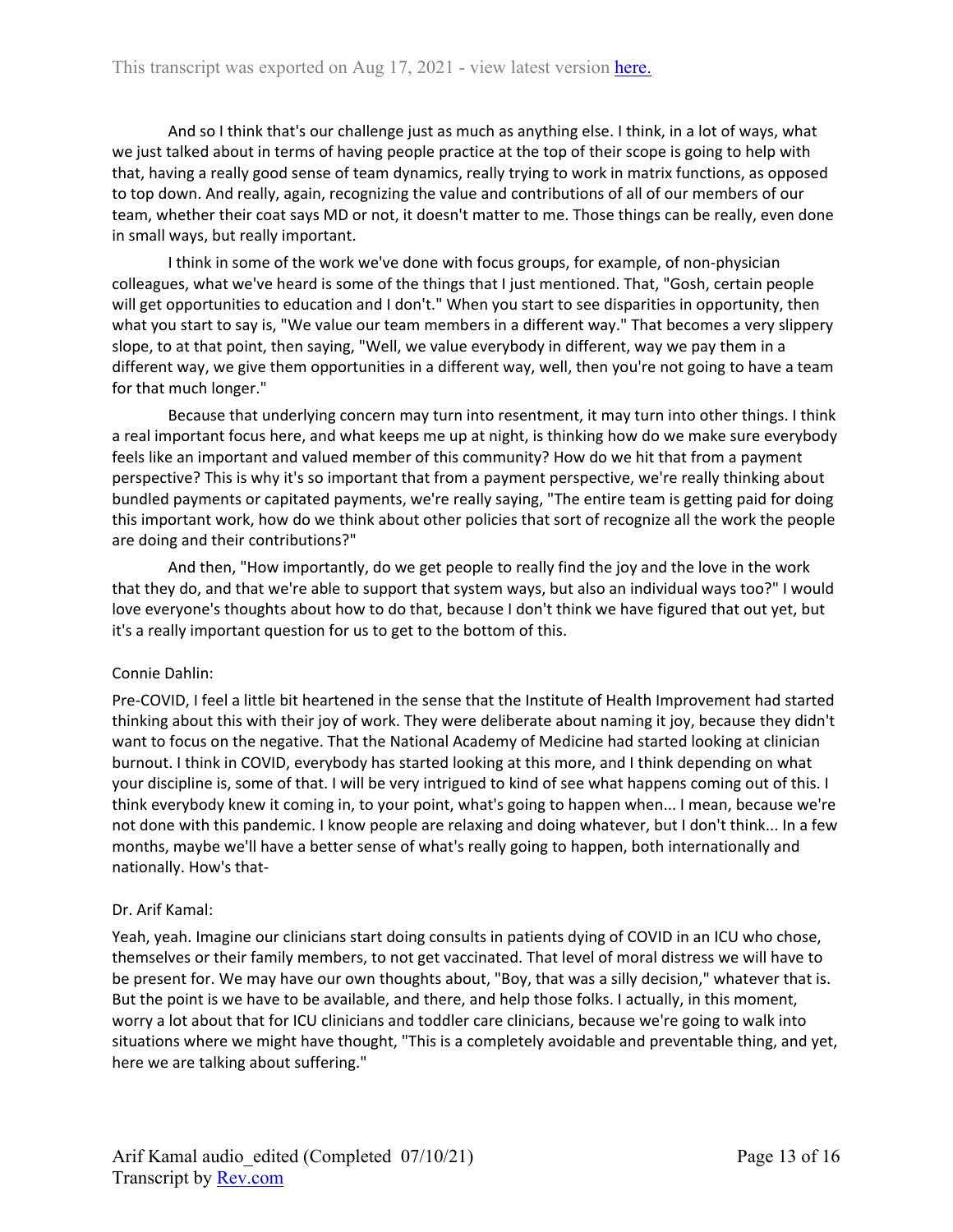And so I think that's our challenge just as much as anything else. I think, in a lot of ways, what we just talked about in terms of having people practice at the top of their scope is going to help with that, having a really good sense of team dynamics, really trying to work in matrix functions, as opposed to top down. And really, again, recognizing the value and contributions of all of our members of our team, whether their coat says MD or not, it doesn't matter to me. Those things can be really, even done in small ways, but really important.

I think in some of the work we've done with focus groups, for example, of non-physician colleagues, what we've heard is some of the things that I just mentioned. That, "Gosh, certain people will get opportunities to education and I don't." When you start to see disparities in opportunity, then what you start to say is, "We value our team members in a different way." That becomes a very slippery slope, to at that point, then saying, "Well, we value everybody in different, way we pay them in a different way, we give them opportunities in a different way, well, then you're not going to have a team for that much longer."

Because that underlying concern may turn into resentment, it may turn into other things. I think a real important focus here, and what keeps me up at night, is thinking how do we make sure everybody feels like an important and valued member of this community? How do we hit that from a payment perspective? This is why it's so important that from a payment perspective, we're really thinking about bundled payments or capitated payments, we're really saying, "The entire team is getting paid for doing this important work, how do we think about other policies that sort of recognize all the work the people are doing and their contributions?"

And then, "How importantly, do we get people to really find the joy and the love in the work that they do, and that we're able to support that system ways, but also an individual ways too?" I would love everyone's thoughts about how to do that, because I don't think we have figured that out yet, but it's a really important question for us to get to the bottom of this.

# Connie Dahlin:

Pre-COVID, I feel a little bit heartened in the sense that the Institute of Health Improvement had started thinking about this with their joy of work. They were deliberate about naming it joy, because they didn't want to focus on the negative. That the National Academy of Medicine had started looking at clinician burnout. I think in COVID, everybody has started looking at this more, and I think depending on what your discipline is, some of that. I will be very intrigued to kind of see what happens coming out of this. I think everybody knew it coming in, to your point, what's going to happen when... I mean, because we're not done with this pandemic. I know people are relaxing and doing whatever, but I don't think... In a few months, maybe we'll have a better sense of what's really going to happen, both internationally and nationally. How's that-

### Dr. Arif Kamal:

Yeah, yeah. Imagine our clinicians start doing consults in patients dying of COVID in an ICU who chose, themselves or their family members, to not get vaccinated. That level of moral distress we will have to be present for. We may have our own thoughts about, "Boy, that was a silly decision," whatever that is. But the point is we have to be available, and there, and help those folks. I actually, in this moment, worry a lot about that for ICU clinicians and toddler care clinicians, because we're going to walk into situations where we might have thought, "This is a completely avoidable and preventable thing, and yet, here we are talking about suffering."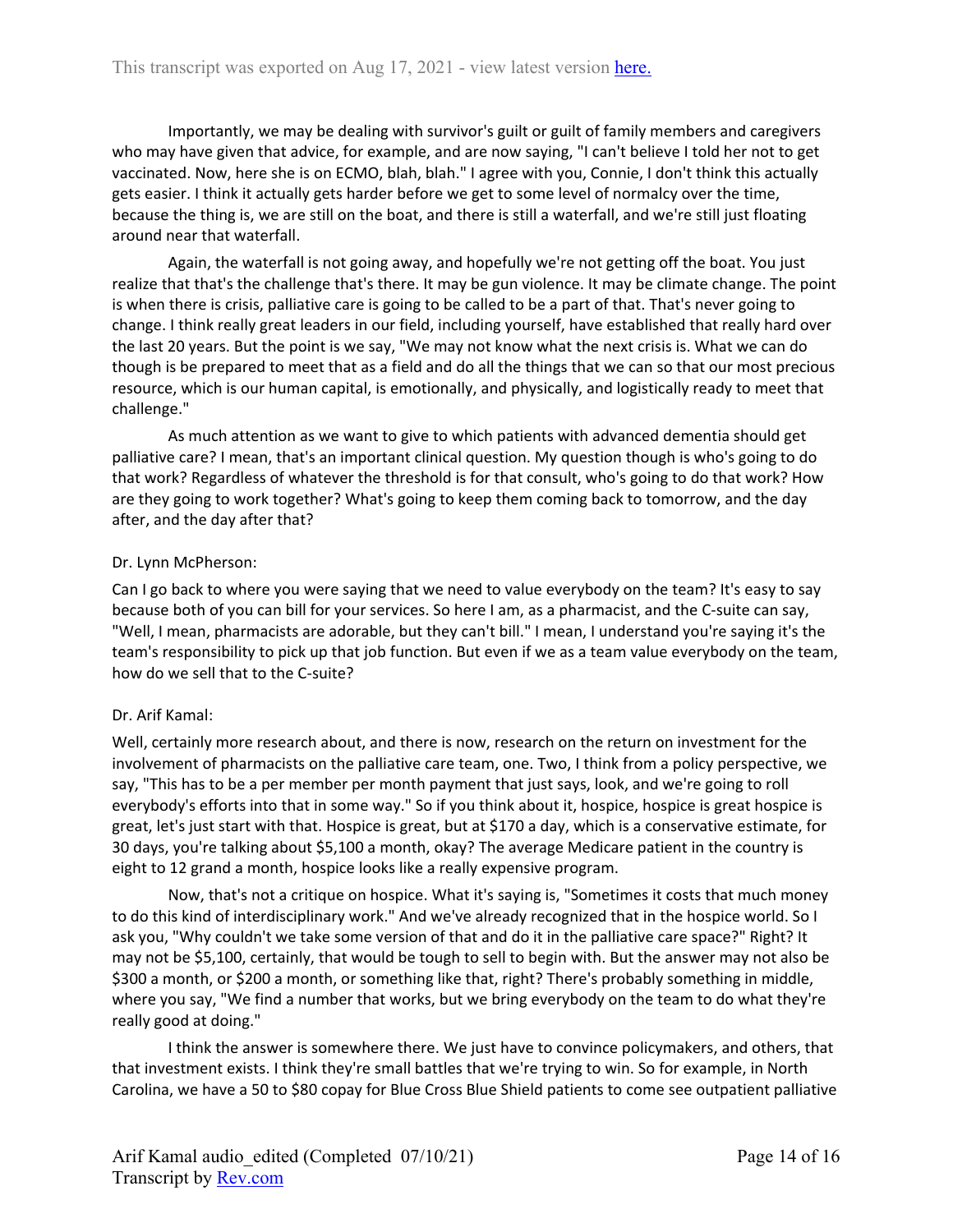Importantly, we may be dealing with survivor's guilt or guilt of family members and caregivers who may have given that advice, for example, and are now saying, "I can't believe I told her not to get vaccinated. Now, here she is on ECMO, blah, blah." I agree with you, Connie, I don't think this actually gets easier. I think it actually gets harder before we get to some level of normalcy over the time, because the thing is, we are still on the boat, and there is still a waterfall, and we're still just floating around near that waterfall.

Again, the waterfall is not going away, and hopefully we're not getting off the boat. You just realize that that's the challenge that's there. It may be gun violence. It may be climate change. The point is when there is crisis, palliative care is going to be called to be a part of that. That's never going to change. I think really great leaders in our field, including yourself, have established that really hard over the last 20 years. But the point is we say, "We may not know what the next crisis is. What we can do though is be prepared to meet that as a field and do all the things that we can so that our most precious resource, which is our human capital, is emotionally, and physically, and logistically ready to meet that challenge."

As much attention as we want to give to which patients with advanced dementia should get palliative care? I mean, that's an important clinical question. My question though is who's going to do that work? Regardless of whatever the threshold is for that consult, who's going to do that work? How are they going to work together? What's going to keep them coming back to tomorrow, and the day after, and the day after that?

## Dr. Lynn McPherson:

Can I go back to where you were saying that we need to value everybody on the team? It's easy to say because both of you can bill for your services. So here I am, as a pharmacist, and the C-suite can say, "Well, I mean, pharmacists are adorable, but they can't bill." I mean, I understand you're saying it's the team's responsibility to pick up that job function. But even if we as a team value everybody on the team, how do we sell that to the C-suite?

# Dr. Arif Kamal:

Well, certainly more research about, and there is now, research on the return on investment for the involvement of pharmacists on the palliative care team, one. Two, I think from a policy perspective, we say, "This has to be a per member per month payment that just says, look, and we're going to roll everybody's efforts into that in some way." So if you think about it, hospice, hospice is great hospice is great, let's just start with that. Hospice is great, but at \$170 a day, which is a conservative estimate, for 30 days, you're talking about \$5,100 a month, okay? The average Medicare patient in the country is eight to 12 grand a month, hospice looks like a really expensive program.

Now, that's not a critique on hospice. What it's saying is, "Sometimes it costs that much money to do this kind of interdisciplinary work." And we've already recognized that in the hospice world. So I ask you, "Why couldn't we take some version of that and do it in the palliative care space?" Right? It may not be \$5,100, certainly, that would be tough to sell to begin with. But the answer may not also be \$300 a month, or \$200 a month, or something like that, right? There's probably something in middle, where you say, "We find a number that works, but we bring everybody on the team to do what they're really good at doing."

I think the answer is somewhere there. We just have to convince policymakers, and others, that that investment exists. I think they're small battles that we're trying to win. So for example, in North Carolina, we have a 50 to \$80 copay for Blue Cross Blue Shield patients to come see outpatient palliative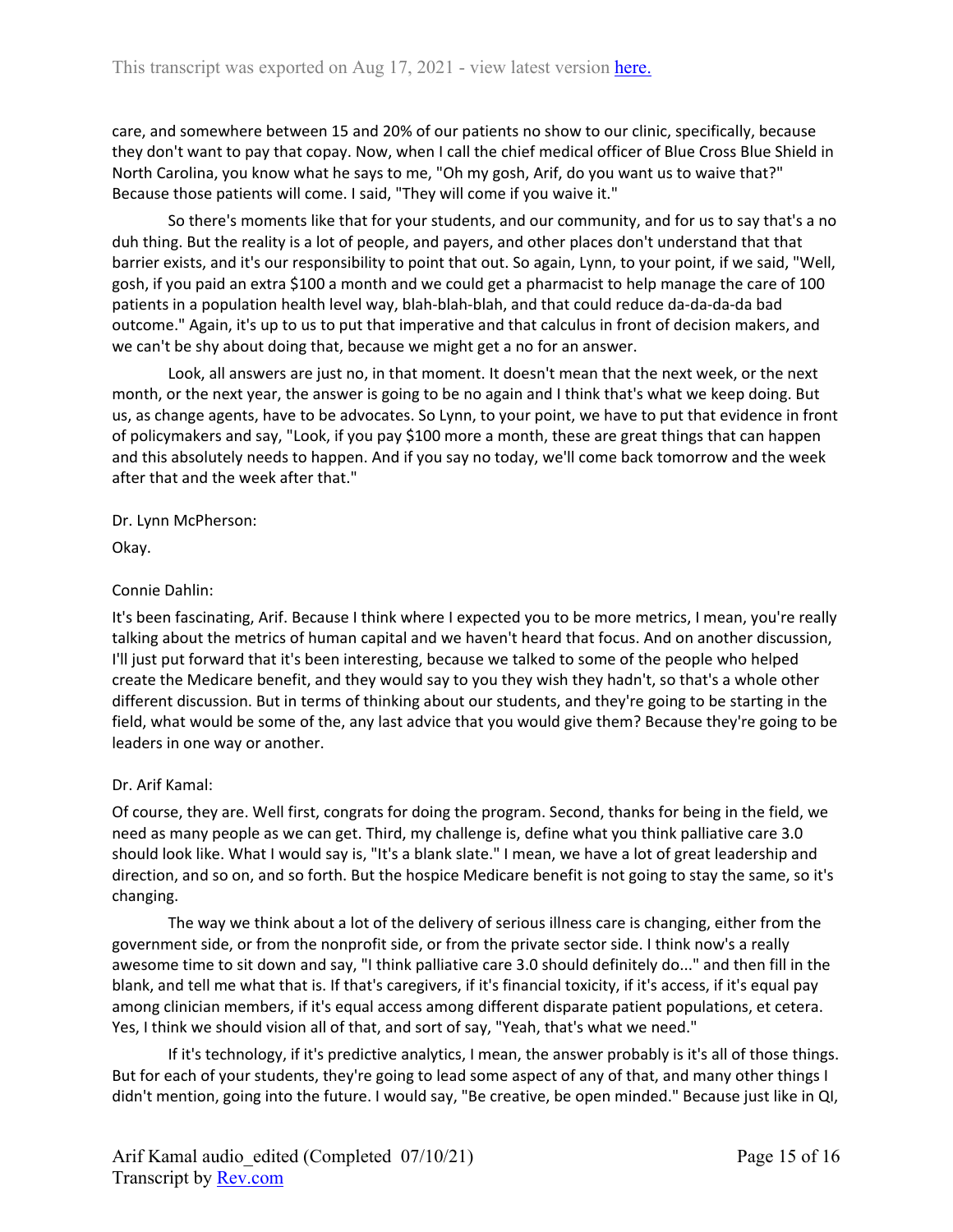care, and somewhere between 15 and 20% of our patients no show to our clinic, specifically, because they don't want to pay that copay. Now, when I call the chief medical officer of Blue Cross Blue Shield in North Carolina, you know what he says to me, "Oh my gosh, Arif, do you want us to waive that?" Because those patients will come. I said, "They will come if you waive it."

So there's moments like that for your students, and our community, and for us to say that's a no duh thing. But the reality is a lot of people, and payers, and other places don't understand that that barrier exists, and it's our responsibility to point that out. So again, Lynn, to your point, if we said, "Well, gosh, if you paid an extra \$100 a month and we could get a pharmacist to help manage the care of 100 patients in a population health level way, blah-blah-blah, and that could reduce da-da-da-da bad outcome." Again, it's up to us to put that imperative and that calculus in front of decision makers, and we can't be shy about doing that, because we might get a no for an answer.

Look, all answers are just no, in that moment. It doesn't mean that the next week, or the next month, or the next year, the answer is going to be no again and I think that's what we keep doing. But us, as change agents, have to be advocates. So Lynn, to your point, we have to put that evidence in front of policymakers and say, "Look, if you pay \$100 more a month, these are great things that can happen and this absolutely needs to happen. And if you say no today, we'll come back tomorrow and the week after that and the week after that."

Dr. Lynn McPherson:

Okay.

# Connie Dahlin:

It's been fascinating, Arif. Because I think where I expected you to be more metrics, I mean, you're really talking about the metrics of human capital and we haven't heard that focus. And on another discussion, I'll just put forward that it's been interesting, because we talked to some of the people who helped create the Medicare benefit, and they would say to you they wish they hadn't, so that's a whole other different discussion. But in terms of thinking about our students, and they're going to be starting in the field, what would be some of the, any last advice that you would give them? Because they're going to be leaders in one way or another.

# Dr. Arif Kamal:

Of course, they are. Well first, congrats for doing the program. Second, thanks for being in the field, we need as many people as we can get. Third, my challenge is, define what you think palliative care 3.0 should look like. What I would say is, "It's a blank slate." I mean, we have a lot of great leadership and direction, and so on, and so forth. But the hospice Medicare benefit is not going to stay the same, so it's changing.

The way we think about a lot of the delivery of serious illness care is changing, either from the government side, or from the nonprofit side, or from the private sector side. I think now's a really awesome time to sit down and say, "I think palliative care 3.0 should definitely do..." and then fill in the blank, and tell me what that is. If that's caregivers, if it's financial toxicity, if it's access, if it's equal pay among clinician members, if it's equal access among different disparate patient populations, et cetera. Yes, I think we should vision all of that, and sort of say, "Yeah, that's what we need."

If it's technology, if it's predictive analytics, I mean, the answer probably is it's all of those things. But for each of your students, they're going to lead some aspect of any of that, and many other things I didn't mention, going into the future. I would say, "Be creative, be open minded." Because just like in QI,